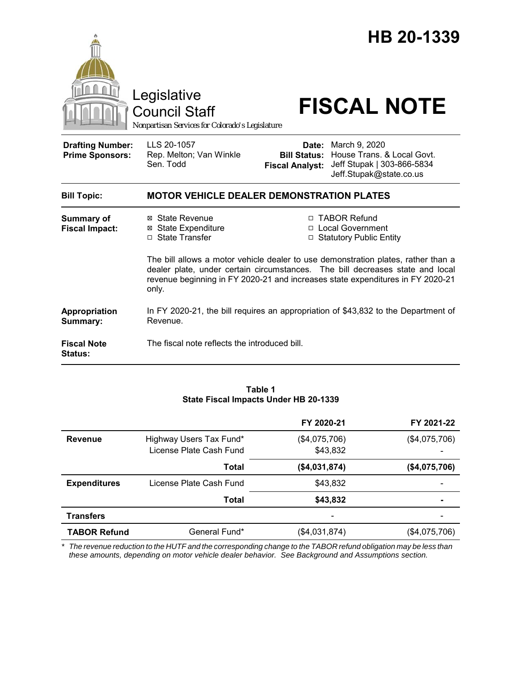

#### **Table 1 State Fiscal Impacts Under HB 20-1339**

|                     |                         | FY 2020-21    | FY 2021-22    |
|---------------------|-------------------------|---------------|---------------|
| <b>Revenue</b>      | Highway Users Tax Fund* | (\$4,075,706) | (\$4,075,706) |
|                     | License Plate Cash Fund | \$43,832      |               |
|                     | Total                   | (\$4,031,874) | (\$4,075,706) |
| <b>Expenditures</b> | License Plate Cash Fund | \$43,832      |               |
|                     | Total                   | \$43,832      | ۰             |
| <b>Transfers</b>    |                         |               |               |
| <b>TABOR Refund</b> | General Fund*           | (\$4,031,874) | (\$4,075,706) |

*\* The revenue reduction to the HUTF and the corresponding change to the TABOR refund obligation may be less than these amounts, depending on motor vehicle dealer behavior. See Background and Assumptions section.*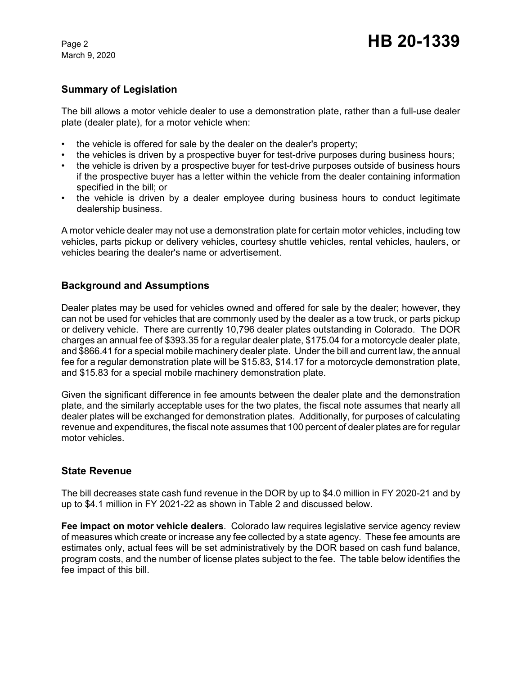March 9, 2020

# **Summary of Legislation**

The bill allows a motor vehicle dealer to use a demonstration plate, rather than a full-use dealer plate (dealer plate), for a motor vehicle when:

- the vehicle is offered for sale by the dealer on the dealer's property;
- the vehicles is driven by a prospective buyer for test-drive purposes during business hours;
- the vehicle is driven by a prospective buyer for test-drive purposes outside of business hours if the prospective buyer has a letter within the vehicle from the dealer containing information specified in the bill; or
- the vehicle is driven by a dealer employee during business hours to conduct legitimate dealership business.

A motor vehicle dealer may not use a demonstration plate for certain motor vehicles, including tow vehicles, parts pickup or delivery vehicles, courtesy shuttle vehicles, rental vehicles, haulers, or vehicles bearing the dealer's name or advertisement.

## **Background and Assumptions**

Dealer plates may be used for vehicles owned and offered for sale by the dealer; however, they can not be used for vehicles that are commonly used by the dealer as a tow truck, or parts pickup or delivery vehicle. There are currently 10,796 dealer plates outstanding in Colorado. The DOR charges an annual fee of \$393.35 for a regular dealer plate, \$175.04 for a motorcycle dealer plate, and \$866.41 for a special mobile machinery dealer plate. Under the bill and current law, the annual fee for a regular demonstration plate will be \$15.83, \$14.17 for a motorcycle demonstration plate, and \$15.83 for a special mobile machinery demonstration plate.

Given the significant difference in fee amounts between the dealer plate and the demonstration plate, and the similarly acceptable uses for the two plates, the fiscal note assumes that nearly all dealer plates will be exchanged for demonstration plates. Additionally, for purposes of calculating revenue and expenditures, the fiscal note assumes that 100 percent of dealer plates are for regular motor vehicles.

# **State Revenue**

The bill decreases state cash fund revenue in the DOR by up to \$4.0 million in FY 2020-21 and by up to \$4.1 million in FY 2021-22 as shown in Table 2 and discussed below.

**Fee impact on motor vehicle dealers**. Colorado law requires legislative service agency review of measures which create or increase any fee collected by a state agency. These fee amounts are estimates only, actual fees will be set administratively by the DOR based on cash fund balance, program costs, and the number of license plates subject to the fee. The table below identifies the fee impact of this bill.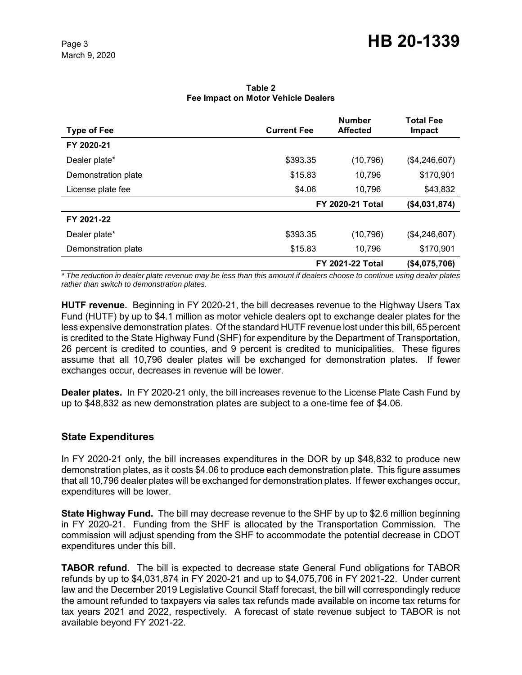| <b>Type of Fee</b>  | <b>Current Fee</b> | <b>Number</b><br><b>Affected</b> | <b>Total Fee</b><br>Impact |
|---------------------|--------------------|----------------------------------|----------------------------|
| FY 2020-21          |                    |                                  |                            |
| Dealer plate*       | \$393.35           | (10, 796)                        | (\$4,246,607)              |
| Demonstration plate | \$15.83            | 10,796                           | \$170,901                  |
| License plate fee   | \$4.06             | 10,796                           | \$43,832                   |
|                     |                    | FY 2020-21 Total                 | (\$4,031,874)              |
| FY 2021-22          |                    |                                  |                            |
| Dealer plate*       | \$393.35           | (10, 796)                        | (\$4,246,607)              |
| Demonstration plate | \$15.83            | 10,796                           | \$170,901                  |
|                     |                    | <b>FY 2021-22 Total</b>          |                            |

#### **Table 2 Fee Impact on Motor Vehicle Dealers**

*\* The reduction in dealer plate revenue may be less than this amount if dealers choose to continue using dealer plates rather than switch to demonstration plates.*

**HUTF revenue.** Beginning in FY 2020-21, the bill decreases revenue to the Highway Users Tax Fund (HUTF) by up to \$4.1 million as motor vehicle dealers opt to exchange dealer plates for the less expensive demonstration plates. Of the standard HUTF revenue lost under this bill, 65 percent is credited to the State Highway Fund (SHF) for expenditure by the Department of Transportation, 26 percent is credited to counties, and 9 percent is credited to municipalities. These figures assume that all 10,796 dealer plates will be exchanged for demonstration plates. If fewer exchanges occur, decreases in revenue will be lower.

**Dealer plates.** In FY 2020-21 only, the bill increases revenue to the License Plate Cash Fund by up to \$48,832 as new demonstration plates are subject to a one-time fee of \$4.06.

# **State Expenditures**

In FY 2020-21 only, the bill increases expenditures in the DOR by up \$48,832 to produce new demonstration plates, as it costs \$4.06 to produce each demonstration plate. This figure assumes that all 10,796 dealer plates will be exchanged for demonstration plates. If fewer exchanges occur, expenditures will be lower.

**State Highway Fund.** The bill may decrease revenue to the SHF by up to \$2.6 million beginning in FY 2020-21. Funding from the SHF is allocated by the Transportation Commission. The commission will adjust spending from the SHF to accommodate the potential decrease in CDOT expenditures under this bill.

**TABOR refund**. The bill is expected to decrease state General Fund obligations for TABOR refunds by up to \$4,031,874 in FY 2020-21 and up to \$4,075,706 in FY 2021-22. Under current law and the December 2019 Legislative Council Staff forecast, the bill will correspondingly reduce the amount refunded to taxpayers via sales tax refunds made available on income tax returns for tax years 2021 and 2022, respectively. A forecast of state revenue subject to TABOR is not available beyond FY 2021-22.